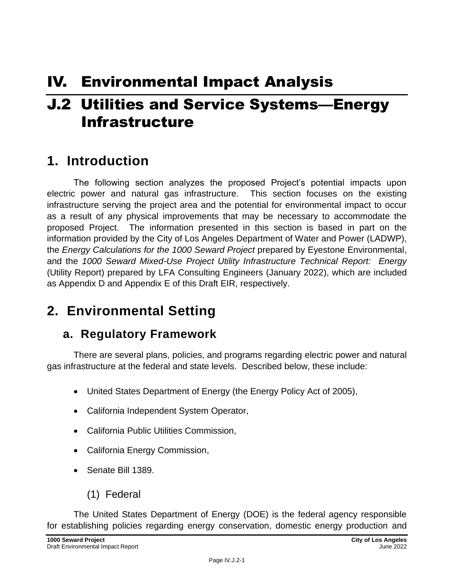# IV. Environmental Impact Analysis

# J.2 Utilities and Service Systems—Energy Infrastructure

# **1. Introduction**

The following section analyzes the proposed Project's potential impacts upon electric power and natural gas infrastructure. This section focuses on the existing infrastructure serving the project area and the potential for environmental impact to occur as a result of any physical improvements that may be necessary to accommodate the proposed Project. The information presented in this section is based in part on the information provided by the City of Los Angeles Department of Water and Power (LADWP), the *Energy Calculations for the 1000 Seward Project* prepared by Eyestone Environmental, and the *1000 Seward Mixed-Use Project Utility Infrastructure Technical Report: Energy* (Utility Report) prepared by LFA Consulting Engineers (January 2022), which are included as Appendix D and Appendix E of this Draft EIR, respectively.

# **2. Environmental Setting**

# **a. Regulatory Framework**

There are several plans, policies, and programs regarding electric power and natural gas infrastructure at the federal and state levels. Described below, these include:

- United States Department of Energy (the Energy Policy Act of 2005),
- California Independent System Operator,
- California Public Utilities Commission,
- California Energy Commission,
- Senate Bill 1389.
	- (1) Federal

The United States Department of Energy (DOE) is the federal agency responsible for establishing policies regarding energy conservation, domestic energy production and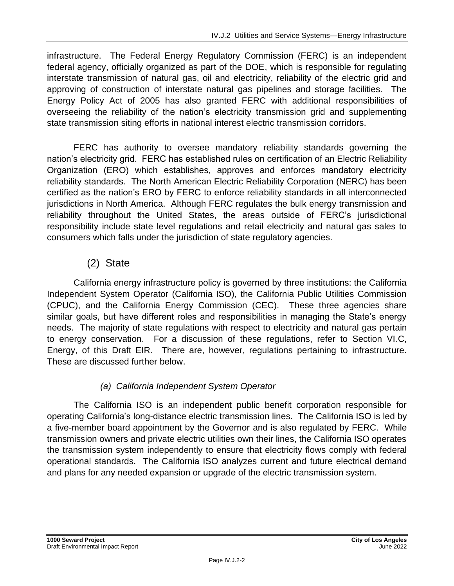infrastructure. The Federal Energy Regulatory Commission (FERC) is an independent federal agency, officially organized as part of the DOE, which is responsible for regulating interstate transmission of natural gas, oil and electricity, reliability of the electric grid and approving of construction of interstate natural gas pipelines and storage facilities. The Energy Policy Act of 2005 has also granted FERC with additional responsibilities of overseeing the reliability of the nation's electricity transmission grid and supplementing state transmission siting efforts in national interest electric transmission corridors.

FERC has authority to oversee mandatory reliability standards governing the nation's electricity grid. FERC has established rules on certification of an Electric Reliability Organization (ERO) which establishes, approves and enforces mandatory electricity reliability standards. The North American Electric Reliability Corporation (NERC) has been certified as the nation's ERO by FERC to enforce reliability standards in all interconnected jurisdictions in North America. Although FERC regulates the bulk energy transmission and reliability throughout the United States, the areas outside of FERC's jurisdictional responsibility include state level regulations and retail electricity and natural gas sales to consumers which falls under the jurisdiction of state regulatory agencies.

### (2) State

California energy infrastructure policy is governed by three institutions: the California Independent System Operator (California ISO), the California Public Utilities Commission (CPUC), and the California Energy Commission (CEC). These three agencies share similar goals, but have different roles and responsibilities in managing the State's energy needs. The majority of state regulations with respect to electricity and natural gas pertain to energy conservation. For a discussion of these regulations, refer to Section VI.C, Energy, of this Draft EIR. There are, however, regulations pertaining to infrastructure. These are discussed further below.

### *(a) California Independent System Operator*

The California ISO is an independent public benefit corporation responsible for operating California's long-distance electric transmission lines. The California ISO is led by a five-member board appointment by the Governor and is also regulated by FERC. While transmission owners and private electric utilities own their lines, the California ISO operates the transmission system independently to ensure that electricity flows comply with federal operational standards. The California ISO analyzes current and future electrical demand and plans for any needed expansion or upgrade of the electric transmission system.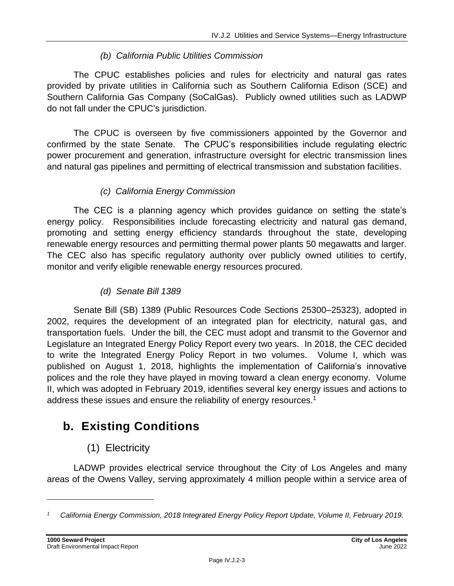#### *(b) California Public Utilities Commission*

The CPUC establishes policies and rules for electricity and natural gas rates provided by private utilities in California such as Southern California Edison (SCE) and Southern California Gas Company (SoCalGas). Publicly owned utilities such as LADWP do not fall under the CPUC's jurisdiction.

The CPUC is overseen by five commissioners appointed by the Governor and confirmed by the state Senate. The CPUC's responsibilities include regulating electric power procurement and generation, infrastructure oversight for electric transmission lines and natural gas pipelines and permitting of electrical transmission and substation facilities.

### *(c) California Energy Commission*

The CEC is a planning agency which provides guidance on setting the state's energy policy. Responsibilities include forecasting electricity and natural gas demand, promoting and setting energy efficiency standards throughout the state, developing renewable energy resources and permitting thermal power plants 50 megawatts and larger. The CEC also has specific regulatory authority over publicly owned utilities to certify, monitor and verify eligible renewable energy resources procured.

#### *(d) Senate Bill 1389*

Senate Bill (SB) 1389 (Public Resources Code Sections 25300–25323), adopted in 2002, requires the development of an integrated plan for electricity, natural gas, and transportation fuels. Under the bill, the CEC must adopt and transmit to the Governor and Legislature an Integrated Energy Policy Report every two years. In 2018, the CEC decided to write the Integrated Energy Policy Report in two volumes. Volume I, which was published on August 1, 2018, highlights the implementation of California's innovative polices and the role they have played in moving toward a clean energy economy. Volume II, which was adopted in February 2019, identifies several key energy issues and actions to address these issues and ensure the reliability of energy resources.<sup>1</sup>

# **b. Existing Conditions**

### (1) Electricity

LADWP provides electrical service throughout the City of Los Angeles and many areas of the Owens Valley, serving approximately 4 million people within a service area of

*<sup>1</sup> California Energy Commission, 2018 Integrated Energy Policy Report Update, Volume II, February 2019.*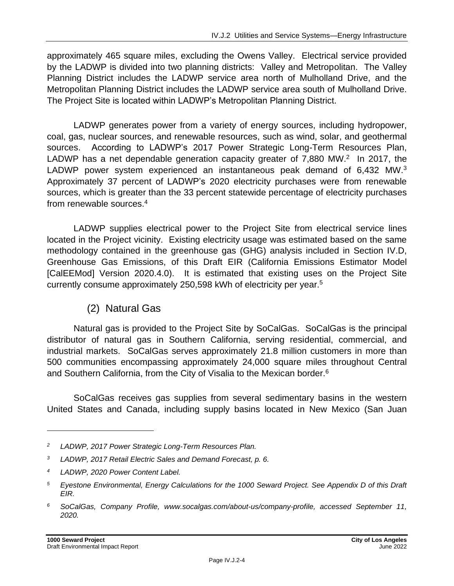approximately 465 square miles, excluding the Owens Valley. Electrical service provided by the LADWP is divided into two planning districts: Valley and Metropolitan. The Valley Planning District includes the LADWP service area north of Mulholland Drive, and the Metropolitan Planning District includes the LADWP service area south of Mulholland Drive. The Project Site is located within LADWP's Metropolitan Planning District.

LADWP generates power from a variety of energy sources, including hydropower, coal, gas, nuclear sources, and renewable resources, such as wind, solar, and geothermal sources. According to LADWP's 2017 Power Strategic Long-Term Resources Plan, LADWP has a net dependable generation capacity greater of  $7,880$  MW.<sup>2</sup> In 2017, the LADWP power system experienced an instantaneous peak demand of 6,432 MW.<sup>3</sup> Approximately 37 percent of LADWP's 2020 electricity purchases were from renewable sources, which is greater than the 33 percent statewide percentage of electricity purchases from renewable sources. 4

LADWP supplies electrical power to the Project Site from electrical service lines located in the Project vicinity. Existing electricity usage was estimated based on the same methodology contained in the greenhouse gas (GHG) analysis included in Section IV.D, Greenhouse Gas Emissions, of this Draft EIR (California Emissions Estimator Model [CalEEMod] Version 2020.4.0). It is estimated that existing uses on the Project Site currently consume approximately 250,598 kWh of electricity per year.<sup>5</sup>

### (2) Natural Gas

Natural gas is provided to the Project Site by SoCalGas. SoCalGas is the principal distributor of natural gas in Southern California, serving residential, commercial, and industrial markets. SoCalGas serves approximately 21.8 million customers in more than 500 communities encompassing approximately 24,000 square miles throughout Central and Southern California, from the City of Visalia to the Mexican border.<sup>6</sup>

SoCalGas receives gas supplies from several sedimentary basins in the western United States and Canada, including supply basins located in New Mexico (San Juan

*<sup>2</sup> LADWP, 2017 Power Strategic Long-Term Resources Plan.*

*<sup>3</sup> LADWP, 2017 Retail Electric Sales and Demand Forecast, p. 6.*

*<sup>4</sup> LADWP, 2020 Power Content Label.*

*<sup>5</sup> Eyestone Environmental, Energy Calculations for the 1000 Seward Project. See Appendix D of this Draft EIR.*

*<sup>6</sup> SoCalGas, Company Profile, www.socalgas.com/about-us/company-profile, accessed September 11, 2020.*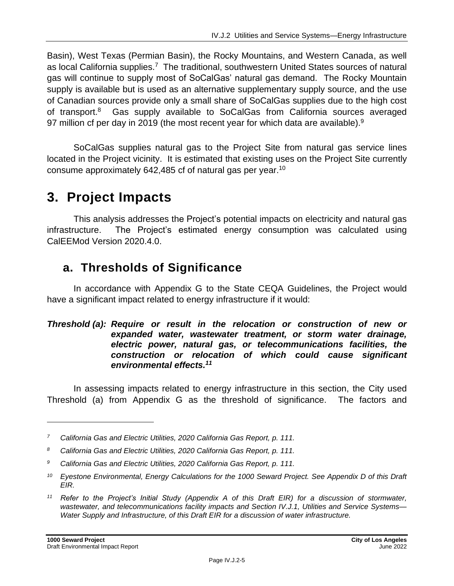Basin), West Texas (Permian Basin), the Rocky Mountains, and Western Canada, as well as local California supplies.<sup>7</sup> The traditional, southwestern United States sources of natural gas will continue to supply most of SoCalGas' natural gas demand. The Rocky Mountain supply is available but is used as an alternative supplementary supply source, and the use of Canadian sources provide only a small share of SoCalGas supplies due to the high cost of transport.<sup>8</sup> Gas supply available to SoCalGas from California sources averaged 97 million cf per day in 2019 (the most recent year for which data are available).<sup>9</sup>

SoCalGas supplies natural gas to the Project Site from natural gas service lines located in the Project vicinity. It is estimated that existing uses on the Project Site currently consume approximately 642,485 cf of natural gas per year. $^{10}$ 

# **3. Project Impacts**

This analysis addresses the Project's potential impacts on electricity and natural gas infrastructure. The Project's estimated energy consumption was calculated using CalEEMod Version 2020.4.0.

# **a. Thresholds of Significance**

In accordance with Appendix G to the State CEQA Guidelines, the Project would have a significant impact related to energy infrastructure if it would:

#### *Threshold (a): Require or result in the relocation or construction of new or expanded water, wastewater treatment, or storm water drainage, electric power, natural gas, or telecommunications facilities, the construction or relocation of which could cause significant environmental effects. 11*

In assessing impacts related to energy infrastructure in this section, the City used Threshold (a) from Appendix G as the threshold of significance. The factors and

*<sup>7</sup> California Gas and Electric Utilities, 2020 California Gas Report, p. 111.*

*<sup>8</sup> California Gas and Electric Utilities, 2020 California Gas Report, p. 111.*

*<sup>9</sup> California Gas and Electric Utilities, 2020 California Gas Report, p. 111.*

*<sup>10</sup> Eyestone Environmental, Energy Calculations for the 1000 Seward Project. See Appendix D of this Draft EIR.*

*<sup>11</sup> Refer to the Project's Initial Study (Appendix A of this Draft EIR) for a discussion of stormwater, wastewater, and telecommunications facility impacts and Section IV.J.1, Utilities and Service Systems— Water Supply and Infrastructure, of this Draft EIR for a discussion of water infrastructure.*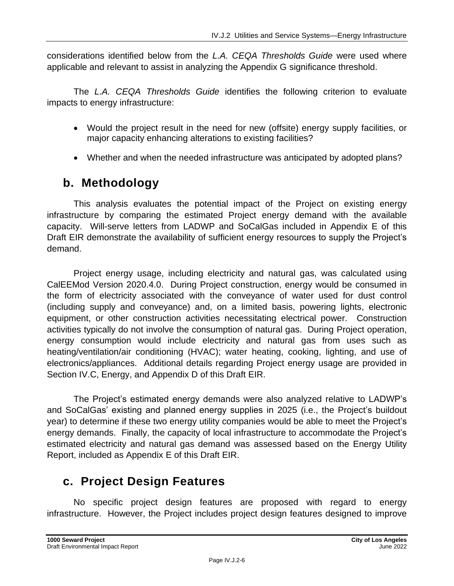considerations identified below from the *L.A. CEQA Thresholds Guide* were used where applicable and relevant to assist in analyzing the Appendix G significance threshold.

The *L.A. CEQA Thresholds Guide* identifies the following criterion to evaluate impacts to energy infrastructure:

- Would the project result in the need for new (offsite) energy supply facilities, or major capacity enhancing alterations to existing facilities?
- Whether and when the needed infrastructure was anticipated by adopted plans?

# **b. Methodology**

This analysis evaluates the potential impact of the Project on existing energy infrastructure by comparing the estimated Project energy demand with the available capacity. Will-serve letters from LADWP and SoCalGas included in Appendix E of this Draft EIR demonstrate the availability of sufficient energy resources to supply the Project's demand.

Project energy usage, including electricity and natural gas, was calculated using CalEEMod Version 2020.4.0. During Project construction, energy would be consumed in the form of electricity associated with the conveyance of water used for dust control (including supply and conveyance) and, on a limited basis, powering lights, electronic equipment, or other construction activities necessitating electrical power. Construction activities typically do not involve the consumption of natural gas. During Project operation, energy consumption would include electricity and natural gas from uses such as heating/ventilation/air conditioning (HVAC); water heating, cooking, lighting, and use of electronics/appliances. Additional details regarding Project energy usage are provided in Section IV.C, Energy, and Appendix D of this Draft EIR.

The Project's estimated energy demands were also analyzed relative to LADWP's and SoCalGas' existing and planned energy supplies in 2025 (i.e., the Project's buildout year) to determine if these two energy utility companies would be able to meet the Project's energy demands. Finally, the capacity of local infrastructure to accommodate the Project's estimated electricity and natural gas demand was assessed based on the Energy Utility Report, included as Appendix E of this Draft EIR.

# **c. Project Design Features**

No specific project design features are proposed with regard to energy infrastructure. However, the Project includes project design features designed to improve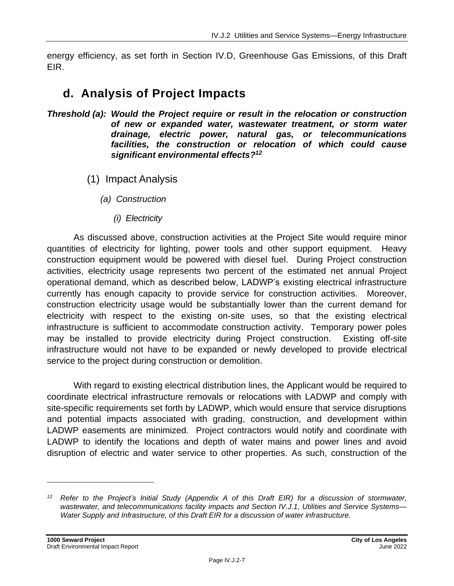energy efficiency, as set forth in Section IV.D, Greenhouse Gas Emissions, of this Draft EIR.

## **d. Analysis of Project Impacts**

- *Threshold (a): Would the Project require or result in the relocation or construction of new or expanded water, wastewater treatment, or storm water drainage, electric power, natural gas, or telecommunications facilities, the construction or relocation of which could cause significant environmental effects?<sup>12</sup>*
	- (1) Impact Analysis
		- *(a) Construction*
			- *(i) Electricity*

As discussed above, construction activities at the Project Site would require minor quantities of electricity for lighting, power tools and other support equipment. Heavy construction equipment would be powered with diesel fuel. During Project construction activities, electricity usage represents two percent of the estimated net annual Project operational demand, which as described below, LADWP's existing electrical infrastructure currently has enough capacity to provide service for construction activities. Moreover, construction electricity usage would be substantially lower than the current demand for electricity with respect to the existing on-site uses, so that the existing electrical infrastructure is sufficient to accommodate construction activity. Temporary power poles may be installed to provide electricity during Project construction. Existing off-site infrastructure would not have to be expanded or newly developed to provide electrical service to the project during construction or demolition.

With regard to existing electrical distribution lines, the Applicant would be required to coordinate electrical infrastructure removals or relocations with LADWP and comply with site-specific requirements set forth by LADWP, which would ensure that service disruptions and potential impacts associated with grading, construction, and development within LADWP easements are minimized. Project contractors would notify and coordinate with LADWP to identify the locations and depth of water mains and power lines and avoid disruption of electric and water service to other properties. As such, construction of the

*<sup>12</sup> Refer to the Project's Initial Study (Appendix A of this Draft EIR) for a discussion of stormwater, wastewater, and telecommunications facility impacts and Section IV.J.1, Utilities and Service Systems— Water Supply and Infrastructure, of this Draft EIR for a discussion of water infrastructure.*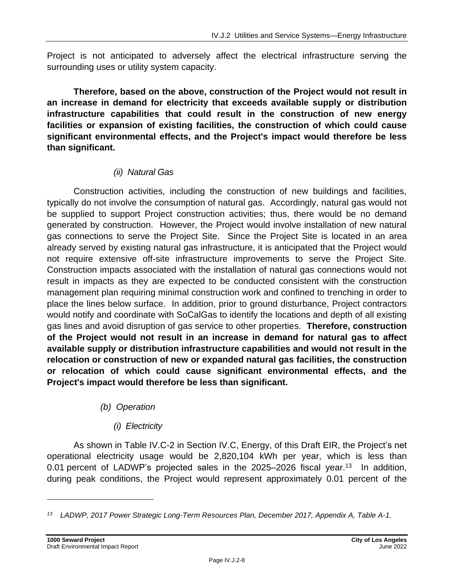Project is not anticipated to adversely affect the electrical infrastructure serving the surrounding uses or utility system capacity.

**Therefore, based on the above, construction of the Project would not result in an increase in demand for electricity that exceeds available supply or distribution infrastructure capabilities that could result in the construction of new energy facilities or expansion of existing facilities, the construction of which could cause significant environmental effects, and the Project's impact would therefore be less than significant.**

#### *(ii) Natural Gas*

Construction activities, including the construction of new buildings and facilities, typically do not involve the consumption of natural gas. Accordingly, natural gas would not be supplied to support Project construction activities; thus, there would be no demand generated by construction. However, the Project would involve installation of new natural gas connections to serve the Project Site. Since the Project Site is located in an area already served by existing natural gas infrastructure, it is anticipated that the Project would not require extensive off-site infrastructure improvements to serve the Project Site. Construction impacts associated with the installation of natural gas connections would not result in impacts as they are expected to be conducted consistent with the construction management plan requiring minimal construction work and confined to trenching in order to place the lines below surface. In addition, prior to ground disturbance, Project contractors would notify and coordinate with SoCalGas to identify the locations and depth of all existing gas lines and avoid disruption of gas service to other properties. **Therefore, construction of the Project would not result in an increase in demand for natural gas to affect available supply or distribution infrastructure capabilities and would not result in the relocation or construction of new or expanded natural gas facilities, the construction or relocation of which could cause significant environmental effects, and the Project's impact would therefore be less than significant.**

#### *(b) Operation*

#### *(i) Electricity*

As shown in Table IV.C-2 in Section IV.C, Energy, of this Draft EIR, the Project's net operational electricity usage would be 2,820,104 kWh per year, which is less than 0.01 percent of LADWP's projected sales in the  $2025-2026$  fiscal year.<sup>13</sup> In addition, during peak conditions, the Project would represent approximately 0.01 percent of the

*<sup>13</sup> LADWP, 2017 Power Strategic Long-Term Resources Plan, December 2017, Appendix A, Table A-1.*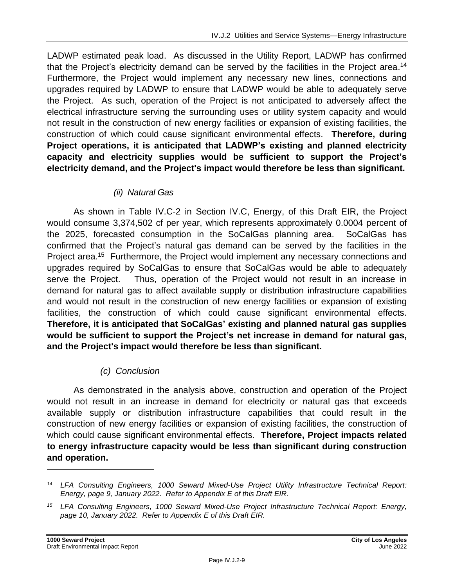LADWP estimated peak load. As discussed in the Utility Report, LADWP has confirmed that the Project's electricity demand can be served by the facilities in the Project area.<sup>14</sup> Furthermore, the Project would implement any necessary new lines, connections and upgrades required by LADWP to ensure that LADWP would be able to adequately serve the Project. As such, operation of the Project is not anticipated to adversely affect the electrical infrastructure serving the surrounding uses or utility system capacity and would not result in the construction of new energy facilities or expansion of existing facilities, the construction of which could cause significant environmental effects. **Therefore, during Project operations, it is anticipated that LADWP's existing and planned electricity capacity and electricity supplies would be sufficient to support the Project's electricity demand, and the Project's impact would therefore be less than significant.**

### *(ii) Natural Gas*

As shown in Table IV.C-2 in Section IV.C, Energy, of this Draft EIR, the Project would consume 3,374,502 cf per year, which represents approximately 0.0004 percent of the 2025, forecasted consumption in the SoCalGas planning area. SoCalGas has confirmed that the Project's natural gas demand can be served by the facilities in the Project area.<sup>15</sup> Furthermore, the Project would implement any necessary connections and upgrades required by SoCalGas to ensure that SoCalGas would be able to adequately serve the Project. Thus, operation of the Project would not result in an increase in demand for natural gas to affect available supply or distribution infrastructure capabilities and would not result in the construction of new energy facilities or expansion of existing facilities, the construction of which could cause significant environmental effects. **Therefore, it is anticipated that SoCalGas' existing and planned natural gas supplies would be sufficient to support the Project's net increase in demand for natural gas, and the Project's impact would therefore be less than significant.**

### *(c) Conclusion*

As demonstrated in the analysis above, construction and operation of the Project would not result in an increase in demand for electricity or natural gas that exceeds available supply or distribution infrastructure capabilities that could result in the construction of new energy facilities or expansion of existing facilities, the construction of which could cause significant environmental effects. **Therefore, Project impacts related to energy infrastructure capacity would be less than significant during construction and operation.**

*<sup>14</sup> LFA Consulting Engineers, 1000 Seward Mixed-Use Project Utility Infrastructure Technical Report: Energy, page 9, January 2022. Refer to Appendix E of this Draft EIR.*

*<sup>15</sup> LFA Consulting Engineers, 1000 Seward Mixed-Use Project Infrastructure Technical Report: Energy, page 10, January 2022. Refer to Appendix E of this Draft EIR.*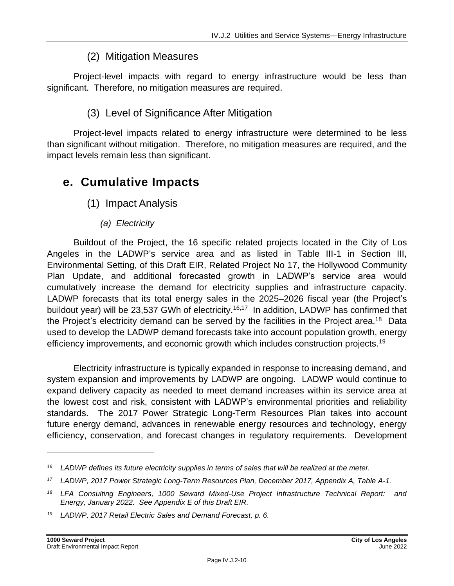### (2) Mitigation Measures

Project-level impacts with regard to energy infrastructure would be less than significant. Therefore, no mitigation measures are required.

### (3) Level of Significance After Mitigation

Project-level impacts related to energy infrastructure were determined to be less than significant without mitigation. Therefore, no mitigation measures are required, and the impact levels remain less than significant.

# **e. Cumulative Impacts**

- (1) Impact Analysis
	- *(a) Electricity*

Buildout of the Project, the 16 specific related projects located in the City of Los Angeles in the LADWP's service area and as listed in Table III-1 in Section III, Environmental Setting, of this Draft EIR, Related Project No 17, the Hollywood Community Plan Update, and additional forecasted growth in LADWP's service area would cumulatively increase the demand for electricity supplies and infrastructure capacity. LADWP forecasts that its total energy sales in the 2025–2026 fiscal year (the Project's buildout year) will be 23,537 GWh of electricity.<sup>16,17</sup> In addition, LADWP has confirmed that the Project's electricity demand can be served by the facilities in the Project area.<sup>18</sup> Data used to develop the LADWP demand forecasts take into account population growth, energy efficiency improvements, and economic growth which includes construction projects.<sup>19</sup>

Electricity infrastructure is typically expanded in response to increasing demand, and system expansion and improvements by LADWP are ongoing. LADWP would continue to expand delivery capacity as needed to meet demand increases within its service area at the lowest cost and risk, consistent with LADWP's environmental priorities and reliability standards. The 2017 Power Strategic Long-Term Resources Plan takes into account future energy demand, advances in renewable energy resources and technology, energy efficiency, conservation, and forecast changes in regulatory requirements. Development

*<sup>16</sup> LADWP defines its future electricity supplies in terms of sales that will be realized at the meter.*

*<sup>17</sup> LADWP, 2017 Power Strategic Long-Term Resources Plan, December 2017, Appendix A, Table A-1.*

*<sup>18</sup> LFA Consulting Engineers, 1000 Seward Mixed-Use Project Infrastructure Technical Report: and Energy, January 2022. See Appendix E of this Draft EIR.*

*<sup>19</sup> LADWP, 2017 Retail Electric Sales and Demand Forecast, p. 6.*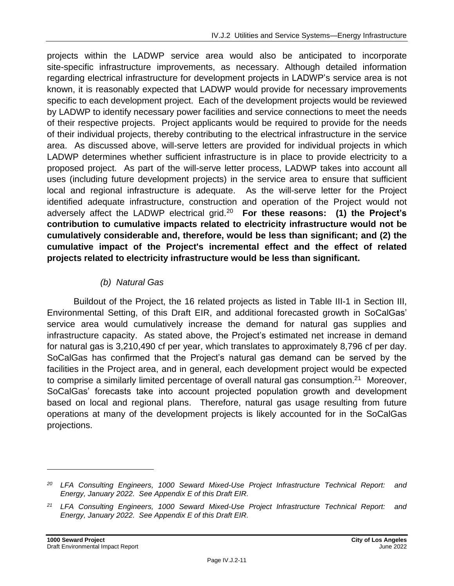projects within the LADWP service area would also be anticipated to incorporate site-specific infrastructure improvements, as necessary. Although detailed information regarding electrical infrastructure for development projects in LADWP's service area is not known, it is reasonably expected that LADWP would provide for necessary improvements specific to each development project. Each of the development projects would be reviewed by LADWP to identify necessary power facilities and service connections to meet the needs of their respective projects. Project applicants would be required to provide for the needs of their individual projects, thereby contributing to the electrical infrastructure in the service area. As discussed above, will-serve letters are provided for individual projects in which LADWP determines whether sufficient infrastructure is in place to provide electricity to a proposed project. As part of the will-serve letter process, LADWP takes into account all uses (including future development projects) in the service area to ensure that sufficient local and regional infrastructure is adequate. As the will-serve letter for the Project identified adequate infrastructure, construction and operation of the Project would not adversely affect the LADWP electrical grid.<sup>20</sup> **For these reasons: (1) the Project's contribution to cumulative impacts related to electricity infrastructure would not be cumulatively considerable and, therefore, would be less than significant; and (2) the cumulative impact of the Project's incremental effect and the effect of related projects related to electricity infrastructure would be less than significant.**

### *(b) Natural Gas*

Buildout of the Project, the 16 related projects as listed in Table III-1 in Section III, Environmental Setting, of this Draft EIR, and additional forecasted growth in SoCalGas' service area would cumulatively increase the demand for natural gas supplies and infrastructure capacity. As stated above, the Project's estimated net increase in demand for natural gas is 3,210,490 cf per year, which translates to approximately 8,796 cf per day. SoCalGas has confirmed that the Project's natural gas demand can be served by the facilities in the Project area, and in general, each development project would be expected to comprise a similarly limited percentage of overall natural gas consumption.<sup>21</sup> Moreover, SoCalGas' forecasts take into account projected population growth and development based on local and regional plans. Therefore, natural gas usage resulting from future operations at many of the development projects is likely accounted for in the SoCalGas projections.

*<sup>20</sup> LFA Consulting Engineers, 1000 Seward Mixed-Use Project Infrastructure Technical Report: and Energy, January 2022. See Appendix E of this Draft EIR.*

*<sup>21</sup> LFA Consulting Engineers, 1000 Seward Mixed-Use Project Infrastructure Technical Report: and Energy, January 2022. See Appendix E of this Draft EIR.*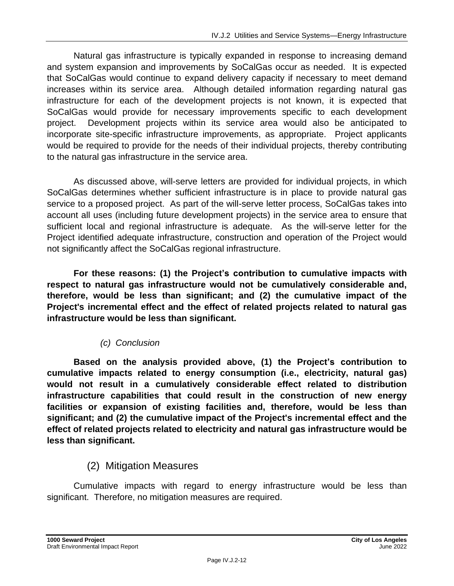Natural gas infrastructure is typically expanded in response to increasing demand and system expansion and improvements by SoCalGas occur as needed. It is expected that SoCalGas would continue to expand delivery capacity if necessary to meet demand increases within its service area. Although detailed information regarding natural gas infrastructure for each of the development projects is not known, it is expected that SoCalGas would provide for necessary improvements specific to each development project. Development projects within its service area would also be anticipated to incorporate site-specific infrastructure improvements, as appropriate. Project applicants would be required to provide for the needs of their individual projects, thereby contributing to the natural gas infrastructure in the service area.

As discussed above, will-serve letters are provided for individual projects, in which SoCalGas determines whether sufficient infrastructure is in place to provide natural gas service to a proposed project. As part of the will-serve letter process, SoCalGas takes into account all uses (including future development projects) in the service area to ensure that sufficient local and regional infrastructure is adequate. As the will-serve letter for the Project identified adequate infrastructure, construction and operation of the Project would not significantly affect the SoCalGas regional infrastructure.

**For these reasons: (1) the Project's contribution to cumulative impacts with respect to natural gas infrastructure would not be cumulatively considerable and, therefore, would be less than significant; and (2) the cumulative impact of the Project's incremental effect and the effect of related projects related to natural gas infrastructure would be less than significant.**

### *(c) Conclusion*

**Based on the analysis provided above, (1) the Project's contribution to cumulative impacts related to energy consumption (i.e., electricity, natural gas) would not result in a cumulatively considerable effect related to distribution infrastructure capabilities that could result in the construction of new energy facilities or expansion of existing facilities and, therefore, would be less than significant; and (2) the cumulative impact of the Project's incremental effect and the effect of related projects related to electricity and natural gas infrastructure would be less than significant.**

### (2) Mitigation Measures

Cumulative impacts with regard to energy infrastructure would be less than significant. Therefore, no mitigation measures are required.